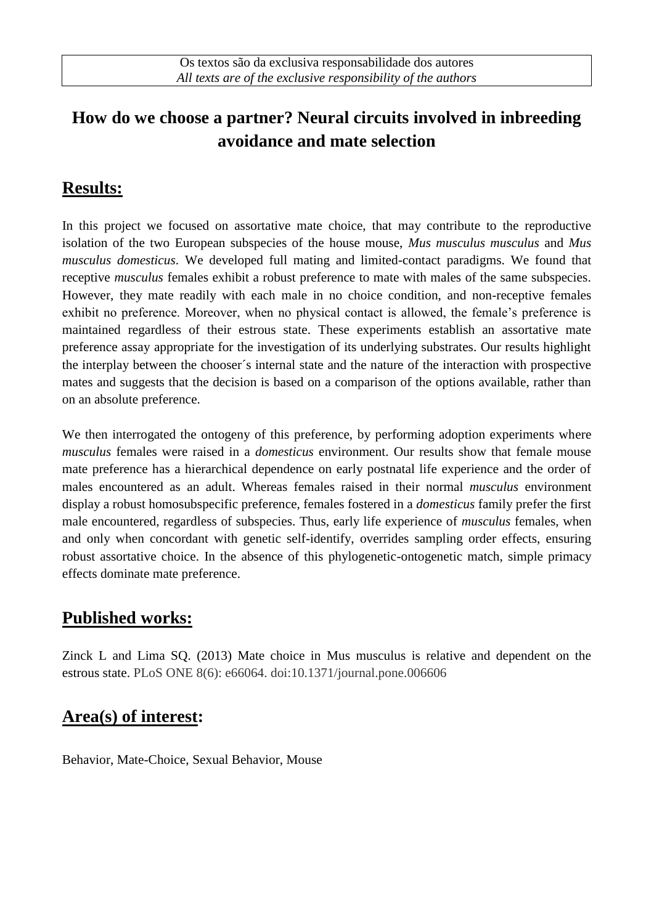## **How do we choose a partner? Neural circuits involved in inbreeding avoidance and mate selection**

## **Results:**

In this project we focused on assortative mate choice, that may contribute to the reproductive isolation of the two European subspecies of the house mouse, *Mus musculus musculus* and *Mus musculus domesticus*. We developed full mating and limited-contact paradigms. We found that receptive *musculus* females exhibit a robust preference to mate with males of the same subspecies. However, they mate readily with each male in no choice condition, and non-receptive females exhibit no preference. Moreover, when no physical contact is allowed, the female's preference is maintained regardless of their estrous state. These experiments establish an assortative mate preference assay appropriate for the investigation of its underlying substrates. Our results highlight the interplay between the chooser´s internal state and the nature of the interaction with prospective mates and suggests that the decision is based on a comparison of the options available, rather than on an absolute preference.

We then interrogated the ontogeny of this preference, by performing adoption experiments where *musculus* females were raised in a *domesticus* environment. Our results show that female mouse mate preference has a hierarchical dependence on early postnatal life experience and the order of males encountered as an adult. Whereas females raised in their normal *musculus* environment display a robust homosubspecific preference, females fostered in a *domesticus* family prefer the first male encountered, regardless of subspecies. Thus, early life experience of *musculus* females, when and only when concordant with genetic self-identify, overrides sampling order effects, ensuring robust assortative choice. In the absence of this phylogenetic-ontogenetic match, simple primacy effects dominate mate preference.

#### **Published works:**

Zinck L and Lima SQ. (2013) Mate choice in Mus musculus is relative and dependent on the estrous state. PLoS ONE 8(6): e66064. doi:10.1371/journal.pone.006606

### **Area(s) of interest:**

Behavior, Mate-Choice, Sexual Behavior, Mouse